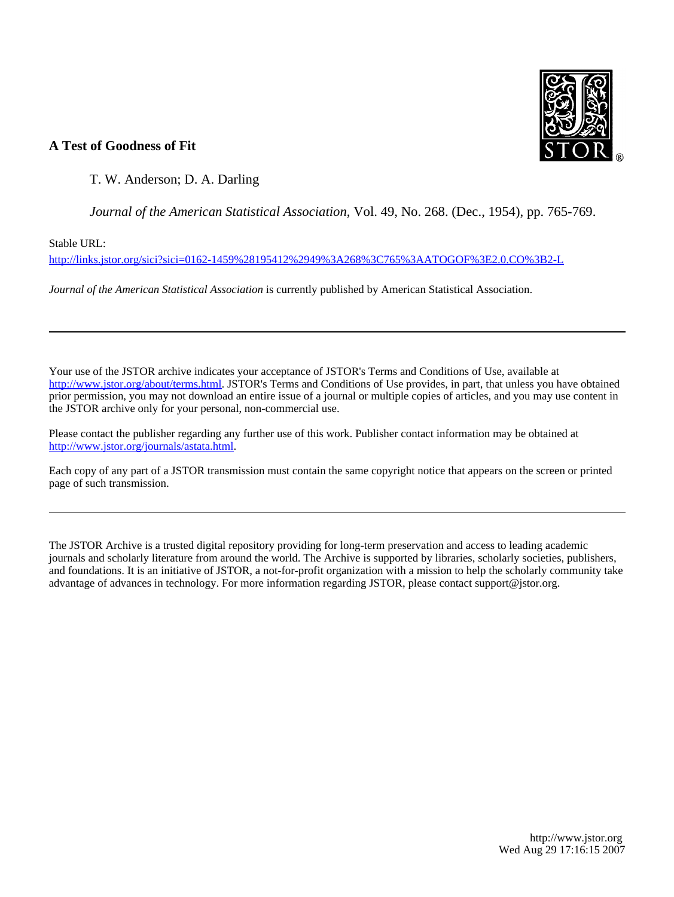

# **A Test of Goodness of Fit**

T. W. Anderson; D. A. Darling

*Journal of the American Statistical Association*, Vol. 49, No. 268. (Dec., 1954), pp. 765-769.

Stable URL:

<http://links.jstor.org/sici?sici=0162-1459%28195412%2949%3A268%3C765%3AATOGOF%3E2.0.CO%3B2-L>

*Journal of the American Statistical Association* is currently published by American Statistical Association.

Your use of the JSTOR archive indicates your acceptance of JSTOR's Terms and Conditions of Use, available at [http://www.jstor.org/about/terms.html.](http://www.jstor.org/about/terms.html) JSTOR's Terms and Conditions of Use provides, in part, that unless you have obtained prior permission, you may not download an entire issue of a journal or multiple copies of articles, and you may use content in the JSTOR archive only for your personal, non-commercial use.

Please contact the publisher regarding any further use of this work. Publisher contact information may be obtained at <http://www.jstor.org/journals/astata.html>.

Each copy of any part of a JSTOR transmission must contain the same copyright notice that appears on the screen or printed page of such transmission.

The JSTOR Archive is a trusted digital repository providing for long-term preservation and access to leading academic journals and scholarly literature from around the world. The Archive is supported by libraries, scholarly societies, publishers, and foundations. It is an initiative of JSTOR, a not-for-profit organization with a mission to help the scholarly community take advantage of advances in technology. For more information regarding JSTOR, please contact support@jstor.org.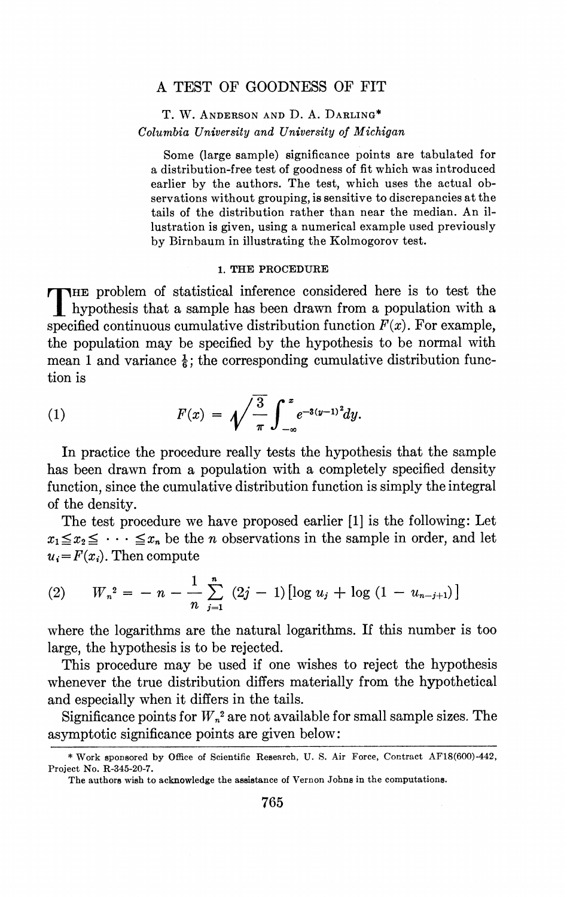# A TEST OF GOODNESS OF FIT

# T. W. ANDERSON AND D. A. DARLING\* Columbia *University and University of Michigan*

Some (large sample) significance points are tabulated for a distribution-free test of goodness of fit which was introduced earlier by the authors. The test, which uses the actual observations without grouping, is sensitive to discrepancies at the tails of the distribution rather than near the median. An illustration is given, using a numerical example used previously by Birnbaum in illustrating the Kolmogorov test.

#### **1.** THE PROCEDURE

THE problem of statistical inference considered here is to test the hypothesis that a sample has been drawn from a population with a specified continuous cumulative distribution function  $F(x)$ . For example, the population may be specified by the hypothesis to be normal with mean 1 and variance  $\frac{1}{6}$ ; the corresponding cumulative distribution function is

(1) 
$$
F(x) = \sqrt{\frac{3}{\pi}} \int_{-\infty}^{x} e^{-3(y-1)^2} dy.
$$

In practice the procedure really tests the hypothesis that the sample has been drawn from a population with a completely specified density function, since the cumulative distribution function is simply the integral of the density.

The test procedure we have proposed earlier [1] is the following: Let  $x_1 \le x_2 \le \cdots \le x_n$  be the *n* observations in the sample in order, and let

$$
u_i = F(x_i).
$$
 Then compute  
(2)  $W_n^2 = -n - \frac{1}{n} \sum_{j=1}^n (2j-1) [\log u_j + \log (1 - u_{n-j+1})]$ 

where the logarithms are the natural logarithms. If this number is too large, the hypothesis is to be rejected.

This procedure may be used if one wishes to reject the hypothesis whenever the true distribution differs materially from the hypothetical and especially when it differs in the tails.

Significance points for  $W_n^2$  are not available for small sample sizes. The asymptotic significance points are given below:

<sup>&</sup>quot; Work sponsored by Office of Scientific Research, U. S. Air Force, Contract AFlS(600)-442, Project No. R-345-20-7.

The authors wish to acknowledge the assistance of Vernon Johns in the computations.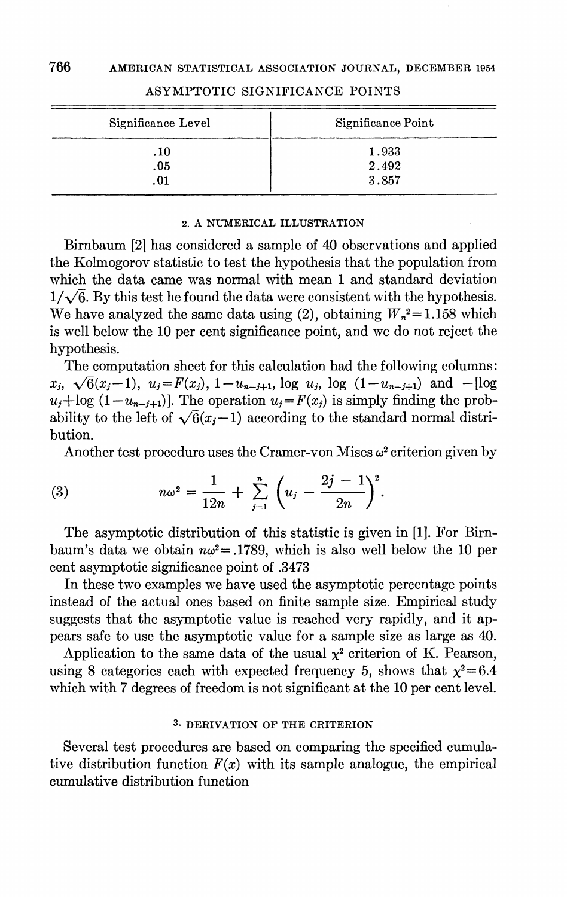| Significance Level | Significance Point |
|--------------------|--------------------|
| . 10               | 1.933              |
| .05                | 2.492              |
| .01                | 3.857              |

# ASYMPTOTIC SIGXIFICANCE POINTS

#### **2. A** NUMERICAL ILLUSTRATION

Bjrnbaum *[2]*has considered a sample of *40* observations and applied the Kolmogorov statistic to test the hypothesis that the population from which the data came was normal with mean 1 and standard deviation  $1/\sqrt{6}$ . By this test he found the data were consistent with the hypothesis. We have analyzed the same data using (2), obtaining  $W_n^2 = 1.158$  which is well below the *10* per cent significance point, and we do not reject the hypothesis.

The computation sheet for this calculation had the following columns:  $x_j$ ,  $\sqrt{6}(x_j-1)$ ,  $u_j = F(x_j)$ ,  $1-u_{n-j+1}$ , log  $u_j$ , log  $(1-u_{n-j+1})$  and  $-$ [log  $u_j+\log(1-u_{n-j+1})$ . The operation  $u_j=F(x_j)$  is simply finding the probability to the left of  $\sqrt{6}(x_j-1)$  according to the standard normal distribution.

Another test procedure uses the Cramer-von Mises  $\omega^2$  criterion given by

(3) 
$$
n\omega^2 = \frac{1}{12n} + \sum_{j=1}^n \left( u_j - \frac{2j-1}{2n} \right)^2
$$

The asymptotic distribution of this statistic is given in *[I].* For Birnbaum's data we obtain  $n\omega^2 = 0.1789$ , which is also well below the 10 per cent asymptotic significance point of *.3473* 

In these two examples we have used the asymptotic percentage points instead of the actual ones based on finite sample size. Empirical study suggests that the asymptotic value is reached very rapidly, and it appears safe to use the asymptotic value for a sample size as large as *40.* 

Application to the same data of the usual  $\chi^2$  criterion of K. Pearson, using 8 categories each with expected frequency 5, shows that  $\chi^2 = 6.4$ which with *7* degrees of freedom is not significant at the 10 per cent level.

### **3.** DERIVATION OF THE CRITERION

Several test procedures are based on comparing the specified cumulative distribution function  $F(x)$  with its sample analogue, the empirical cumulative distribution function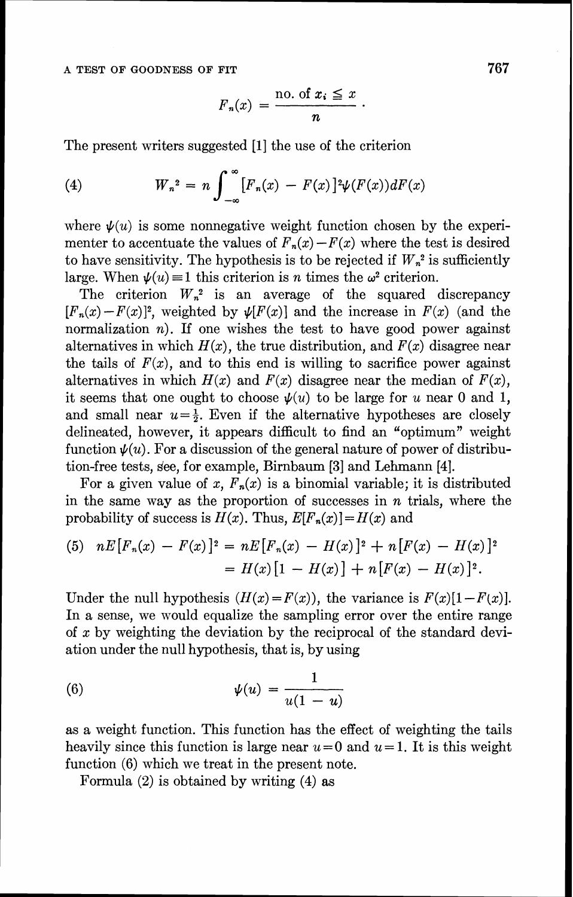$$
F_n(x) = \frac{\text{no. of } x_i \leq x}{n}.
$$

The present writers suggested [1] the use of the criterion

(4) 
$$
W_n^2 = n \int_{-\infty}^{\infty} [F_n(x) - F(x)]^2 \psi(F(x)) dF(x)
$$

where  $\psi(u)$  is some nonnegative weight function chosen by the experimenter to accentuate the values of  $F_n(x) - F(x)$  where the test is desired to have sensitivity. The hypothesis is to be rejected if  $W_n^2$  is sufficiently large. When  $\psi(u) \equiv 1$  this criterion is *n* times the  $\omega^2$  criterion.

The criterion  $W_n^2$  is an average of the squared discrepancy  $[F_n(x)-F(x)]^2$ , weighted by  $\psi[F(x)]$  and the increase in  $F(x)$  (and the normalization  $n$ ). If one wishes the test to have good power against alternatives in which  $H(x)$ , the true distribution, and  $F(x)$  disagree near the tails of  $F(x)$ , and to this end is willing to sacrifice power against alternatives in which  $H(x)$  and  $F(x)$  disagree near the median of  $F(x)$ , it seems that one ought to choose  $\psi(u)$  to be large for u near 0 and 1, and small near  $u=\frac{1}{2}$ . Even if the alternative hypotheses are closely delineated, however, it appears difficult to find an "optimum" weight function  $\psi(u)$ . For a discussion of the general nature of power of distribution-free tests, see, for example, Birnbaum <sup>[3]</sup> and Lehmann <sup>[4]</sup>.

For a given value of x,  $F_n(x)$  is a binomial variable; it is distributed in the same way as the proportion of successes in  $n$  trials, where the probability of success is  $H(x)$ . Thus,  $E[F_n(x)] = H(x)$  and

(5) 
$$
nE[F_n(x) - F(x)]^2 = nE[F_n(x) - H(x)]^2 + n[F(x) - H(x)]^2
$$

$$
= H(x)[1 - H(x)] + n[F(x) - H(x)]^2.
$$

Under the null hypothesis  $(H(x) = F(x))$ , the variance is  $F(x)[1 - F(x)]$ . In a sense, we would equalize the sampling error over the entire range of  $x$  by weighting the deviation by the reciprocal of the standard deviation under the null hypothesis, that is, by using

$$
\psi(u) = \frac{1}{u(1-u)}
$$

as a weight function. This function has the effect of weighting the tails heavily since this function is large near  $u=0$  and  $u=1$ . It is this weight function (6) which we treat in the present note.

Formula (2) is obtained by writing (4) as

767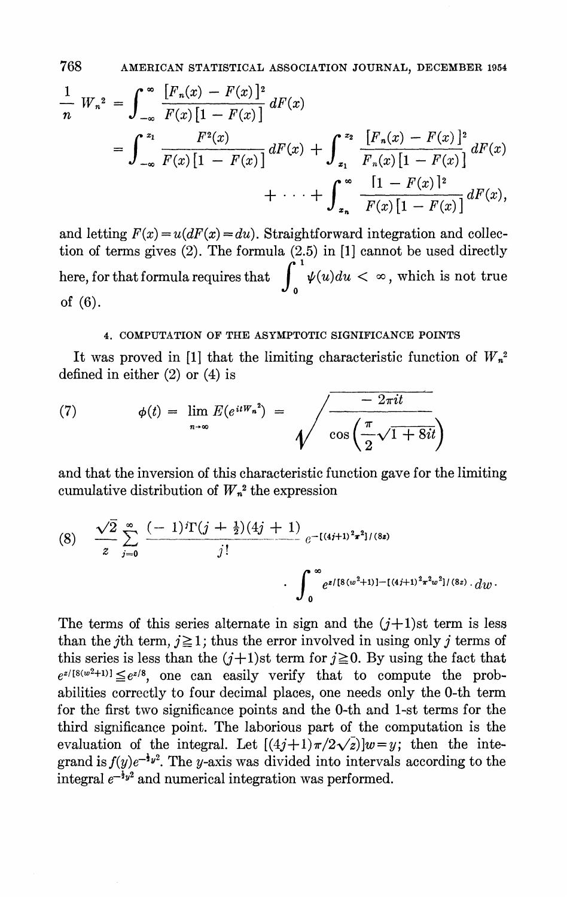768 AMERICAN STATISTICAL ASSOCIATION JOURNAL, DECEMBER 1954

$$
\frac{1}{n} W_n^2 = \int_{-\infty}^{\infty} \frac{[F_n(x) - F(x)]^2}{F(x)[1 - F(x)]} dF(x)
$$
  
= 
$$
\int_{-\infty}^{z_1} \frac{F^2(x)}{F(x)[1 - F(x)]} dF(x) + \int_{z_1}^{z_2} \frac{[F_n(x) - F(x)]^2}{F_n(x)[1 - F(x)]} dF(x)
$$
  
+ 
$$
\cdots + \int_{z_n}^{\infty} \frac{[1 - F(x)]^2}{F(x)[1 - F(x)]} dF(x),
$$

and letting  $F(x) = u(dF(x)) = du$ . Straightforward integration and collection of terms gives (2). The formula (2.5) in [I] cannot be used directly here, for that formula requires that  $\int_{0}^{1} \psi(u)du < \infty$ , which is not true of (6).

### 4. COMPUTATION OF THE ASYMPTOTIC SIGNIFICANCE POINTS

It was proved in [1] that the limiting characteristic function of  $W_n^2$ defined in either (2) or (4) is

(7) 
$$
\phi(t) = \lim_{n \to \infty} E(e^{itW_n^2}) = \sqrt{\frac{-2\pi it}{\cos\left(\frac{\pi}{2}\sqrt{1+8it}\right)}}
$$

and that the inversion of this characteristic function gave for the limiting cumulative distribution of  $W_n^2$  the expression

$$
(8) \quad \frac{\sqrt{2}}{z} \sum_{j=0}^{\infty} \frac{(-1)^j \Gamma(j+\frac{1}{2})(4j+1)}{j!} e^{-[(4j+1)^2 \pi^2]/(8z)} \\ \cdot \int_{0}^{\infty} e^{z/[8(w^2+1)] - [(4j+1)^2 \pi^2 w^2]/(8z)} dw.
$$

The terms of this series alternate in sign and the  $(j+1)$ st term is less than the *j*th term,  $j \ge 1$ ; thus the error involved in using only *j* terms of this series is less than the  $(j+1)$ st term for  $j \ge 0$ . By using the fact that  $e^{z/[8(w^2+1)]} \leq e^{z/8}$ , one can easily verify that to compute the probabilities correctly to four decimal places, one needs only the 0-th term for the first two significance points and the 0-th and 1-st terms for the third significance point. The laborious part of the computation is the evaluation of the integral. Let  $[(4j+1)\pi/2\sqrt{z}]w=y$ ; then the integrand is  $f(y)e^{-\frac{1}{2}y^2}$ . The y-axis was divided into intervals according to the integral  $e^{-\frac{1}{2}y^2}$  and numerical integration was performed.